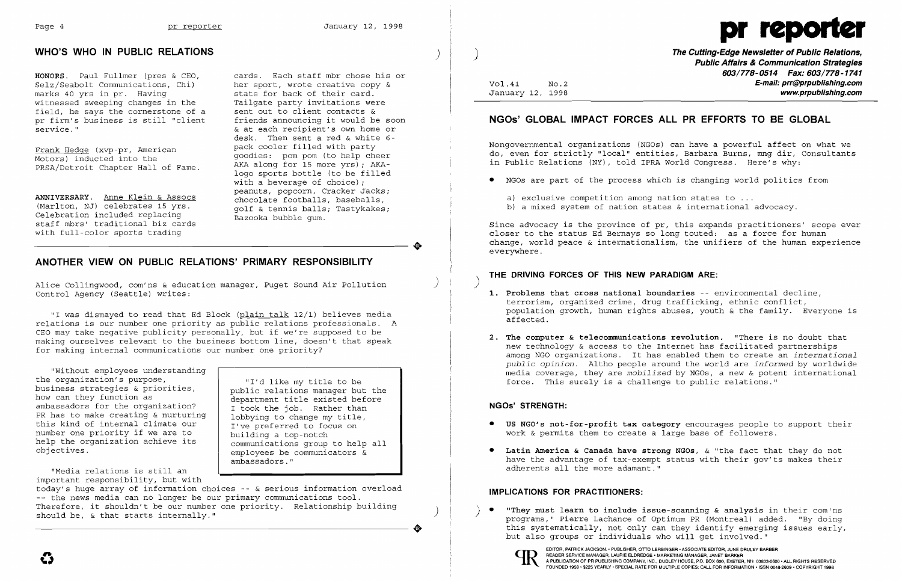

# **WHO'S WHO IN PUBLIC RELATIONS** )

Frank Hedge (xvp-pr, American Motors) inducted into the PRSA/Detroit Chapter Hall of Fame.

**ANNIVERSARY.** Anne Klein & Assocs (Marlton, NJ) celebrates 15 yrs. Celebration included replacing staff mbrs' traditional biz cards with full-color sports trading

**HONORS.** Paul Fullmer (pres & CEO, Selz/Seabolt Communications, Chi) marks 40 yrs in pr. Having witnessed sweeping changes in the field, he says the cornerstone of a pr firm's business is still "client service."

Alice Collingwood, com'ns & education manager, Puget Sound Air Pollution  $\qquad \qquad \Big)$ Control Agency (Seattle) writes:

"I was dismayed to read that Ed Block (plain talk 12/1) believes media relations is our number one priority as public relations professionals. A CEO may take negative publicity personally, but if we're supposed to be making ourselves relevant to the business bottom line, doesn't that speak for making internal communications our number one priority?

cards. Each staff mbr chose his or her sport, wrote creative copy & stats for back of their card. Tailgate party invitations were sent out to client contacts & friends announcing it would be soon & at each recipient's own home or desk. Then sent a red & white 6 pack cooler filled with party goodies: pom pom (to help cheer AKA along for 15 more yrs) *i* AKAlogo sports bottle (to be filled with a beverage of choice); peanuts, popcorn, Cracker Jacks; chocolate footballs, baseballs, golf & tennis balls; Tastykakes; Bazooka bubble gum.

..

## **ANOTHER VIEW ON PUBLIC RELATIONS' PRIMARY RESPONSIBILITY**

**The Cutting-Edge Newsletter of Public Relations,** ) **Public Affairs & Communication Strategies 603/778-0514 Fax: 603/778-1741**  Vol.41 NO.2 **E-mail: prr@prpublishing.com**  www.prpublishing.com

"Media relations is still an important responsibility, but with

today's huge array of information choices - & serious information overload -- the news media can no longer be our primary communications tool. Therefore, it shouldn't be our number one priority. Relationship building should be, & that starts internally."

"I'd like my title to be public relations manager but the department title existed before I took the job. Rather than lobbying to change my title, I've preferred to focus on

building a top-notch

communications group to help all employees be communicators &

ambassadors."

**"They must learn to include issue-scanning & analysis** in their com'ns programs," Pierre Lachance of Optimum PR (Montreal) added. "By doing this systematically, not only can they identify emerging issues early,

"Without employees understanding the organization's purpose, business strategies & priorities, how can they function as ambassadors for the organization? PR has to make creating & nurturing this kind of internal climate our number one priority if we are to help the organization achieve its objectives.

..

)

## **NGOs' GLOBAL IMPACT FORCES ALL PR EFFORTS TO BE GLOBAL**

Nongovernmental organizations (NGOs) can have a powerful affect on what we do, even for strictly "local" entities, Barbara Burns, mng dir, Consultants in Public Relations (NY), told IPRA World Congress. Here's why:

• NGOs are part of the process which is changing world politics from

a) exclusive competition among nation states to ... b) a mixed system of nation states & international advocacy.

Since advocacy is the province of pr, this expands practitioners' scope ever closer to the status Ed Bernays so long touted: as a force for human change, world peace & internationalism, the unifiers of the human experience everywhere.

#### **THE DRIVING FORCES OF THIS NEW PARADIGM ARE:** )

population growth, human rights abuses, youth & the family. Everyone is

- **1. Problems that cross national boundaries** -- environmental decline, terrorism, organized crime, drug trafficking, ethnic conflict, affected.
- **2. The computer & telecommunications revolution.** "There is no doubt that force. This surely is a challenge to public relations."

new technology & access to the Internet has facilitated partnerships among NGO organizations. It has enabled them to create an *international public opinion.* Altho people around the world are *informed* by worldwide media coverage, they are *mobilized* by NGOs, a new & potent international

### **NGOs' STRENGTH:**

- **• US NGO's not-for-profit tax category** encourages people to support their work & permits them to create a large base of followers.
- **• Latin America & Canada have strong NGOs,** & "the fact that they do not adherents all the more adamant."

have the advantage of tax-exempt status with their gov'ts makes their

### **IMPLICATIONS FOR PRACTITIONERS:**

but also groups or individuals who will get involved."



EDITOR, PATRICK JACKSON. • PUBLISHER, OTTO LERBINGER • ASSOCIATE EDITOR, JUNE DRULEY BARBER<br>READER SERVICE MANAGER, LAURIE ELDREDGE • MARKETING MANAGER, JANET BARKER